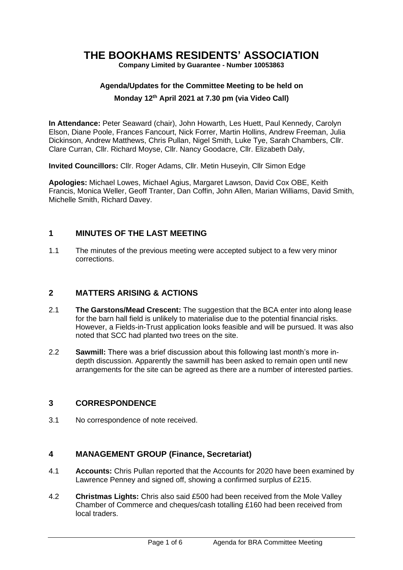## **THE BOOKHAMS RESIDENTS' ASSOCIATION**

**Company Limited by Guarantee - Number 10053863**

# **Agenda/Updates for the Committee Meeting to be held on**

#### **Monday 12 th April 2021 at 7.30 pm (via Video Call)**

**In Attendance:** Peter Seaward (chair), John Howarth, Les Huett, Paul Kennedy, Carolyn Elson, Diane Poole, Frances Fancourt, Nick Forrer, Martin Hollins, Andrew Freeman, Julia Dickinson, Andrew Matthews, Chris Pullan, Nigel Smith, Luke Tye, Sarah Chambers, Cllr. Clare Curran, Cllr. Richard Moyse, Cllr. Nancy Goodacre, Cllr. Elizabeth Daly,

**Invited Councillors:** Cllr. Roger Adams, Cllr. Metin Huseyin, Cllr Simon Edge

**Apologies:** Michael Lowes, Michael Agius, Margaret Lawson, David Cox OBE, Keith Francis, Monica Weller, Geoff Tranter, Dan Coffin, John Allen, Marian Williams, David Smith, Michelle Smith, Richard Davey.

## **1 MINUTES OF THE LAST MEETING**

1.1 The minutes of the previous meeting were accepted subject to a few very minor corrections.

## **2 MATTERS ARISING & ACTIONS**

- 2.1 **The Garstons/Mead Crescent:** The suggestion that the BCA enter into along lease for the barn hall field is unlikely to materialise due to the potential financial risks. However, a Fields-in-Trust application looks feasible and will be pursued. It was also noted that SCC had planted two trees on the site.
- 2.2 **Sawmill:** There was a brief discussion about this following last month's more indepth discussion. Apparently the sawmill has been asked to remain open until new arrangements for the site can be agreed as there are a number of interested parties.

## **3 CORRESPONDENCE**

3.1 No correspondence of note received.

## **4 MANAGEMENT GROUP (Finance, Secretariat)**

- 4.1 **Accounts:** Chris Pullan reported that the Accounts for 2020 have been examined by Lawrence Penney and signed off, showing a confirmed surplus of £215.
- 4.2 **Christmas Lights:** Chris also said £500 had been received from the Mole Valley Chamber of Commerce and cheques/cash totalling £160 had been received from local traders.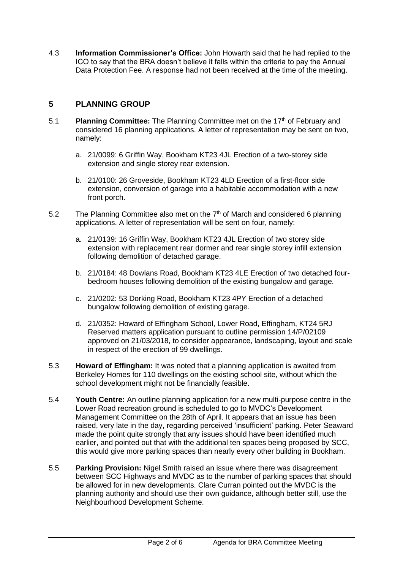4.3 **Information Commissioner's Office:** John Howarth said that he had replied to the ICO to say that the BRA doesn't believe it falls within the criteria to pay the Annual Data Protection Fee. A response had not been received at the time of the meeting.

## **5 PLANNING GROUP**

- 5.1 **Planning Committee:** The Planning Committee met on the 17th of February and considered 16 planning applications. A letter of representation may be sent on two, namely:
	- a. 21/0099: 6 Griffin Way, Bookham KT23 4JL Erection of a two-storey side extension and single storey rear extension.
	- b. 21/0100: 26 Groveside, Bookham KT23 4LD Erection of a first-floor side extension, conversion of garage into a habitable accommodation with a new front porch.
- 5.2 The Planning Committee also met on the  $7<sup>th</sup>$  of March and considered 6 planning applications. A letter of representation will be sent on four, namely:
	- a. 21/0139: 16 Griffin Way, Bookham KT23 4JL Erection of two storey side extension with replacement rear dormer and rear single storey infill extension following demolition of detached garage.
	- b. 21/0184: 48 Dowlans Road, Bookham KT23 4LE Erection of two detached fourbedroom houses following demolition of the existing bungalow and garage.
	- c. 21/0202: 53 Dorking Road, Bookham KT23 4PY Erection of a detached bungalow following demolition of existing garage.
	- d. 21/0352: Howard of Effingham School, Lower Road, Effingham, KT24 5RJ Reserved matters application pursuant to outline permission 14/P/02109 approved on 21/03/2018, to consider appearance, landscaping, layout and scale in respect of the erection of 99 dwellings.
- 5.3 **Howard of Effingham:** It was noted that a planning application is awaited from Berkeley Homes for 110 dwellings on the existing school site, without which the school development might not be financially feasible.
- 5.4 **Youth Centre:** An outline planning application for a new multi-purpose centre in the Lower Road recreation ground is scheduled to go to MVDC's Development Management Committee on the 28th of April. It appears that an issue has been raised, very late in the day, regarding perceived 'insufficient' parking. Peter Seaward made the point quite strongly that any issues should have been identified much earlier, and pointed out that with the additional ten spaces being proposed by SCC, this would give more parking spaces than nearly every other building in Bookham.
- 5.5 **Parking Provision:** Nigel Smith raised an issue where there was disagreement between SCC Highways and MVDC as to the number of parking spaces that should be allowed for in new developments. Clare Curran pointed out the MVDC is the planning authority and should use their own guidance, although better still, use the Neighbourhood Development Scheme.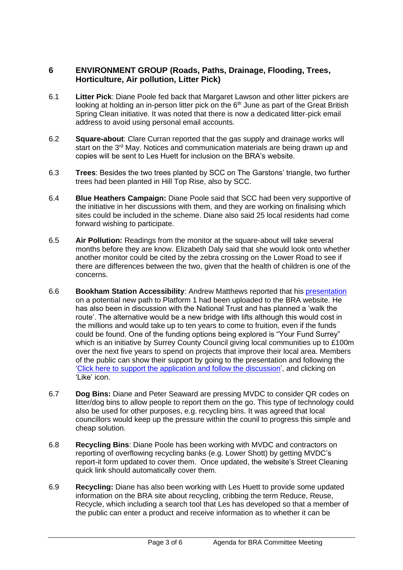## **6 ENVIRONMENT GROUP (Roads, Paths, Drainage, Flooding, Trees, Horticulture, Air pollution, Litter Pick)**

- 6.1 **Litter Pick**: Diane Poole fed back that Margaret Lawson and other litter pickers are looking at holding an in-person litter pick on the  $6<sup>th</sup>$  June as part of the Great British Spring Clean initiative. It was noted that there is now a dedicated litter-pick email address to avoid using personal email accounts.
- 6.2 **Square-about**: Clare Curran reported that the gas supply and drainage works will start on the 3<sup>rd</sup> May. Notices and communication materials are being drawn up and copies will be sent to Les Huett for inclusion on the BRA's website.
- 6.3 **Trees**: Besides the two trees planted by SCC on The Garstons' triangle, two further trees had been planted in Hill Top Rise, also by SCC.
- 6.4 **Blue Heathers Campaign:** Diane Poole said that SCC had been very supportive of the initiative in her discussions with them, and they are working on finalising which sites could be included in the scheme. Diane also said 25 local residents had come forward wishing to participate.
- 6.5 **Air Pollution:** Readings from the monitor at the square-about will take several months before they are know. Elizabeth Daly said that she would look onto whether another monitor could be cited by the zebra crossing on the Lower Road to see if there are differences between the two, given that the health of children is one of the concerns.
- 6.6 **Bookham Station Accessibility**: Andrew Matthews reported that his [presentation](https://www.bookhamresidents.org.uk/bookham-station-accessibility) on a potential new path to Platform 1 had been uploaded to the BRA website. He has also been in discussion with the National Trust and has planned a 'walk the route'. The alternative would be a new bridge with lifts although this would cost in the millions and would take up to ten years to come to fruition, even if the funds could be found. One of the funding options being explored is "Your Fund Surrey" which is an initiative by Surrey County Council giving local communities up to £100m over the next five years to spend on projects that improve their local area. Members of the public can show their support by going to the presentation and following the ['Click here to support the application and follow the discussion', and c](https://yourfundsurreymap.commonplace.is/comments/600ec5f09c6371629b46595c)licking on 'Like' icon.
- 6.7 **Dog Bins:** Diane and Peter Seaward are pressing MVDC to consider QR codes on litter/dog bins to allow people to report them on the go. This type of technology could also be used for other purposes, e.g. recycling bins. It was agreed that local councillors would keep up the pressure within the counil to progress this simple and cheap solution.
- 6.8 **Recycling Bins**: Diane Poole has been working with MVDC and contractors on reporting of overflowing recycling banks (e.g. Lower Shott) by getting MVDC's report-it form updated to cover them. Once updated, the website's Street Cleaning quick link should automatically cover them.
- 6.9 **Recycling:** Diane has also been working with Les Huett to provide some updated information on the BRA site about recycling, cribbing the term Reduce, Reuse, Recycle, which including a search tool that Les has developed so that a member of the public can enter a product and receive information as to whether it can be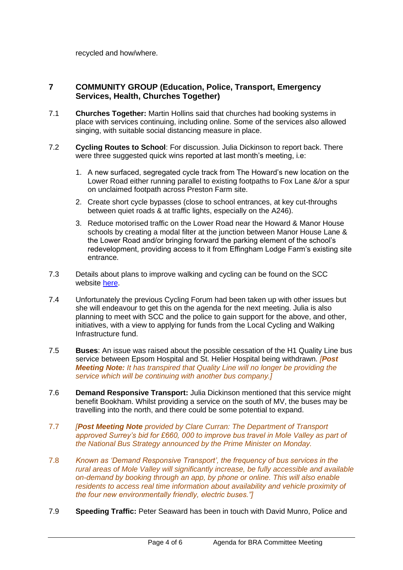recycled and how/where.

## **7 COMMUNITY GROUP (Education, Police, Transport, Emergency Services, Health, Churches Together)**

- 7.1 **Churches Together:** Martin Hollins said that churches had booking systems in place with services continuing, including online. Some of the services also allowed singing, with suitable social distancing measure in place.
- 7.2 **Cycling Routes to School**: For discussion. Julia Dickinson to report back. There were three suggested quick wins reported at last month's meeting, i.e:
	- 1. A new surfaced, segregated cycle track from The Howard's new location on the Lower Road either running parallel to existing footpaths to Fox Lane &/or a spur on unclaimed footpath across Preston Farm site.
	- 2. Create short cycle bypasses (close to school entrances, at key cut-throughs between quiet roads & at traffic lights, especially on the A246).
	- 3. Reduce motorised traffic on the Lower Road near the Howard & Manor House schools by creating a modal filter at the junction between Manor House Lane & the Lower Road and/or bringing forward the parking element of the school's redevelopment, providing access to it from Effingham Lodge Farm's existing site entrance.
- 7.3 Details about plans to improve walking and cycling can be found on the SCC website [here.](https://www.surreycc.gov.uk/roads-and-transport/cycling-and-walking/plans)
- 7.4 Unfortunately the previous Cycling Forum had been taken up with other issues but she will endeavour to get this on the agenda for the next meeting. Julia is also planning to meet with SCC and the police to gain support for the above, and other, initiatives, with a view to applying for funds from the Local Cycling and Walking Infrastructure fund.
- 7.5 **Buses**: An issue was raised about the possible cessation of the H1 Quality Line bus service between Epsom Hospital and St. Helier Hospital being withdrawn. *[Post Meeting Note: It has transpired that Quality Line will no longer be providing the service which will be continuing with another bus company.]*
- 7.6 **Demand Responsive Transport:** Julia Dickinson mentioned that this service might benefit Bookham. Whilst providing a service on the south of MV, the buses may be travelling into the north, and there could be some potential to expand.
- 7.7 *[Post Meeting Note provided by Clare Curran: The Department of Transport approved Surrey's bid for £660, 000 to improve bus travel in Mole Valley as part of the National Bus Strategy announced by the Prime Minister on Monday.*
- 7.8 *Known as 'Demand Responsive Transport', the frequency of bus services in the rural areas of Mole Valley will significantly increase, be fully accessible and available on-demand by booking through an app, by phone or online. This will also enable residents to access real time information about availability and vehicle proximity of the four new environmentally friendly, electric buses."]*
- 7.9 **Speeding Traffic:** Peter Seaward has been in touch with David Munro, Police and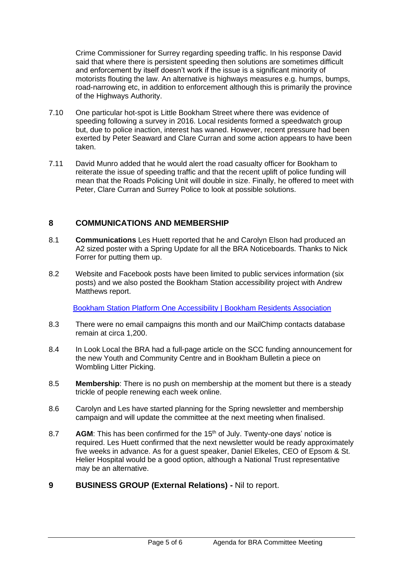Crime Commissioner for Surrey regarding speeding traffic. In his response David said that where there is persistent speeding then solutions are sometimes difficult and enforcement by itself doesn't work if the issue is a significant minority of motorists flouting the law. An alternative is highways measures e.g. humps, bumps, road-narrowing etc, in addition to enforcement although this is primarily the province of the Highways Authority.

- 7.10 One particular hot-spot is Little Bookham Street where there was evidence of speeding following a survey in 2016. Local residents formed a speedwatch group but, due to police inaction, interest has waned. However, recent pressure had been exerted by Peter Seaward and Clare Curran and some action appears to have been taken.
- 7.11 David Munro added that he would alert the road casualty officer for Bookham to reiterate the issue of speeding traffic and that the recent uplift of police funding will mean that the Roads Policing Unit will double in size. Finally, he offered to meet with Peter, Clare Curran and Surrey Police to look at possible solutions.

## **8 COMMUNICATIONS AND MEMBERSHIP**

- 8.1 **Communications** Les Huett reported that he and Carolyn Elson had produced an A2 sized poster with a Spring Update for all the BRA Noticeboards. Thanks to Nick Forrer for putting them up.
- 8.2 Website and Facebook posts have been limited to public services information (six posts) and we also posted the Bookham Station accessibility project with Andrew Matthews report.

[Bookham Station Platform One Accessibility | Bookham Residents Association](https://www.bookhamresidents.org.uk/bookham-station-accessibility)

- 8.3 There were no email campaigns this month and our MailChimp contacts database remain at circa 1,200.
- 8.4 In Look Local the BRA had a full-page article on the SCC funding announcement for the new Youth and Community Centre and in Bookham Bulletin a piece on Wombling Litter Picking.
- 8.5 **Membership**: There is no push on membership at the moment but there is a steady trickle of people renewing each week online.
- 8.6 Carolyn and Les have started planning for the Spring newsletter and membership campaign and will update the committee at the next meeting when finalised.
- 8.7 **AGM**: This has been confirmed for the 15<sup>th</sup> of July. Twenty-one days' notice is required. Les Huett confirmed that the next newsletter would be ready approximately five weeks in advance. As for a guest speaker, Daniel Elkeles, CEO of Epsom & St. Helier Hospital would be a good option, although a National Trust representative may be an alternative.
- **9 BUSINESS GROUP (External Relations) -** Nil to report.